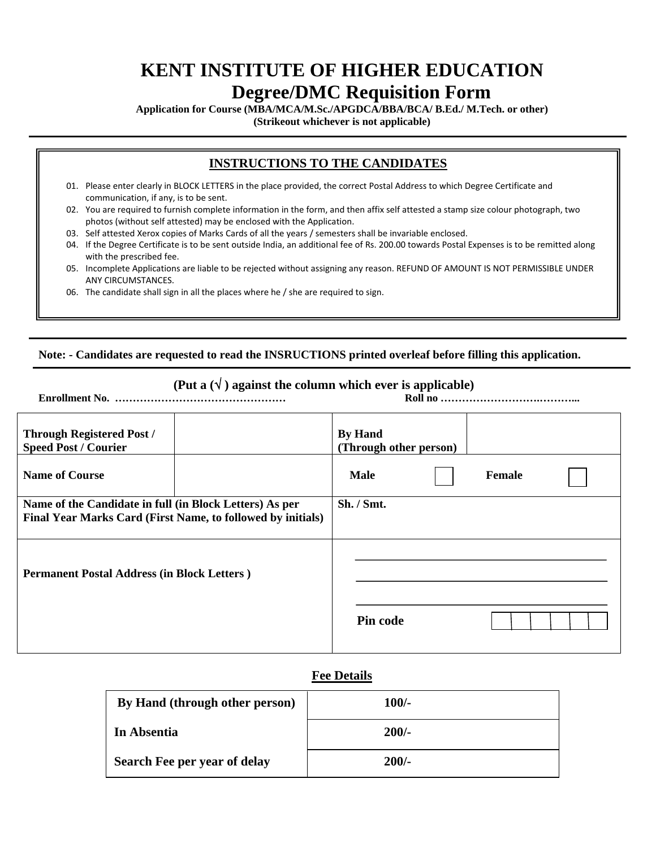# **KENT INSTITUTE OF HIGHER EDUCATION Degree/DMC Requisition Form**

**Application for Course (MBA/MCA/M.Sc./APGDCA/BBA/BCA/ B.Ed./ M.Tech. or other)** 

**(Strikeout whichever is not applicable)** 

## **INSTRUCTIONS TO THE CANDIDATES**

- 01. Please enter clearly in BLOCK LETTERS in the place provided, the correct Postal Address to which Degree Certificate and communication, if any, is to be sent.
- 02. You are required to furnish complete information in the form, and then affix self attested a stamp size colour photograph, two photos (without self attested) may be enclosed with the Application.
- 03. Self attested Xerox copies of Marks Cards of all the years / semesters shall be invariable enclosed.
- 04. If the Degree Certificate is to be sent outside India, an additional fee of Rs. 200.00 towards Postal Expenses is to be remitted along with the prescribed fee.
- 05. Incomplete Applications are liable to be rejected without assigning any reason. REFUND OF AMOUNT IS NOT PERMISSIBLE UNDER ANY CIRCUMSTANCES.
- 06. The candidate shall sign in all the places where he / she are required to sign.

#### **Note: - Candidates are requested to read the INSRUCTIONS printed overleaf before filling this application.**

## **(Put a**  $(\sqrt{})$  ) against the column which ever is applicable)

**Enrollment No. ………………………………………… Roll no ……………………….………...**

| <b>Through Registered Post /</b><br><b>Speed Post / Courier</b> | <b>By Hand</b><br>(Through other person) |               |  |
|-----------------------------------------------------------------|------------------------------------------|---------------|--|
| <b>Name of Course</b>                                           | <b>Male</b>                              | <b>Female</b> |  |
| Name of the Candidate in full (in Block Letters) As per         | Sh. / Smt.                               |               |  |
| Final Year Marks Card (First Name, to followed by initials)     |                                          |               |  |
| <b>Permanent Postal Address (in Block Letters)</b>              |                                          |               |  |
|                                                                 |                                          |               |  |
|                                                                 | Pin code                                 |               |  |
|                                                                 |                                          |               |  |

#### **Fee Details**

| By Hand (through other person) | $100/-$ |
|--------------------------------|---------|
| In Absentia                    | $200/-$ |
| Search Fee per year of delay   | $200/-$ |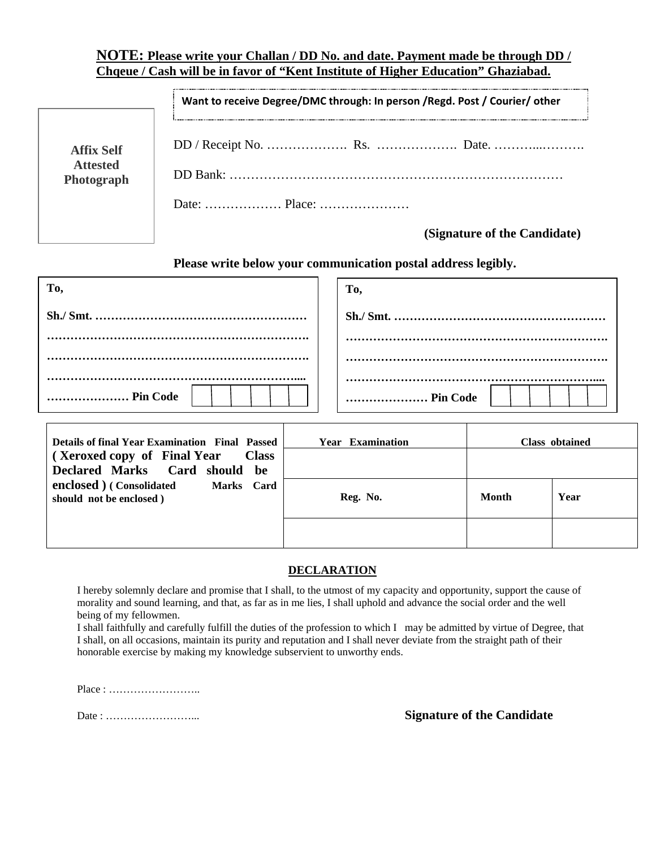### **NOTE: Please write your Challan / DD No. and date. Payment made be through DD / Chqeue / Cash will be in favor of "Kent Institute of Higher Education" Ghaziabad.**

|                   | Want to receive Degree/DMC through: In person / Regd. Post / Courier/ other |  |
|-------------------|-----------------------------------------------------------------------------|--|
| <b>Affix Self</b> |                                                                             |  |
| <b>Attested</b>   |                                                                             |  |
| Photograph        |                                                                             |  |

 **(Signature of the Candidate)** 

 **Please write below your communication postal address legibly.** 

| To,                                                                           |  | To,                     |       |                       |
|-------------------------------------------------------------------------------|--|-------------------------|-------|-----------------------|
|                                                                               |  |                         |       |                       |
|                                                                               |  |                         |       |                       |
|                                                                               |  |                         |       |                       |
| Pin Code                                                                      |  | Pin Code                |       |                       |
| <b>Details of final Year Examination Final Passed</b>                         |  | <b>Year Examination</b> |       | <b>Class obtained</b> |
| (Xeroxed copy of Final Year)<br><b>Class</b><br>Declared Marks Card should be |  |                         |       |                       |
| enclosed ) (Consolidated Marks Card<br>should not be enclosed)                |  | Reg. No.                | Month | Year                  |

#### **DECLARATION**

I hereby solemnly declare and promise that I shall, to the utmost of my capacity and opportunity, support the cause of morality and sound learning, and that, as far as in me lies, I shall uphold and advance the social order and the well being of my fellowmen.

I shall faithfully and carefully fulfill the duties of the profession to which I may be admitted by virtue of Degree, that I shall, on all occasions, maintain its purity and reputation and I shall never deviate from the straight path of their honorable exercise by making my knowledge subservient to unworthy ends.

Place : ……………………..

Date : ……………………... **Signature of the Candidate**